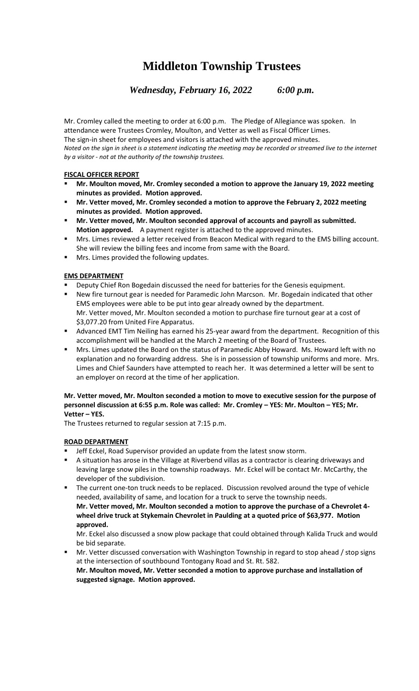# **Middleton Township Trustees**

*Wednesday, February 16, 2022 6:00 p.m.*

Mr. Cromley called the meeting to order at 6:00 p.m. The Pledge of Allegiance was spoken. In attendance were Trustees Cromley, Moulton, and Vetter as well as Fiscal Officer Limes. The sign-in sheet for employees and visitors is attached with the approved minutes. *Noted on the sign in sheet is a statement indicating the meeting may be recorded or streamed live to the internet by a visitor - not at the authority of the township trustees.*

## **FISCAL OFFICER REPORT**

- **Mr. Moulton moved, Mr. Cromley seconded a motion to approve the January 19, 2022 meeting minutes as provided. Motion approved.**
- **Mr. Vetter moved, Mr. Cromley seconded a motion to approve the February 2, 2022 meeting minutes as provided. Motion approved.**
- **Mr. Vetter moved, Mr. Moulton seconded approval of accounts and payroll as submitted. Motion approved.** A payment register is attached to the approved minutes.
- **■** Mrs. Limes reviewed a letter received from Beacon Medical with regard to the EMS billing account. She will review the billing fees and income from same with the Board.
- Mrs. Limes provided the following updates.

# **EMS DEPARTMENT**

- Deputy Chief Ron Bogedain discussed the need for batteries for the Genesis equipment.
- New fire turnout gear is needed for Paramedic John Marcson. Mr. Bogedain indicated that other EMS employees were able to be put into gear already owned by the department. Mr. Vetter moved, Mr. Moulton seconded a motion to purchase fire turnout gear at a cost of \$3,077.20 from United Fire Apparatus.
- **EXECT Advanced EMT Tim Neiling has earned his 25-year award from the department. Recognition of this** accomplishment will be handled at the March 2 meeting of the Board of Trustees.
- **■** Mrs. Limes updated the Board on the status of Paramedic Abby Howard. Ms. Howard left with no explanation and no forwarding address. She is in possession of township uniforms and more. Mrs. Limes and Chief Saunders have attempted to reach her. It was determined a letter will be sent to an employer on record at the time of her application.

#### **Mr. Vetter moved, Mr. Moulton seconded a motion to move to executive session for the purpose of personnel discussion at 6:55 p.m. Role was called: Mr. Cromley – YES: Mr. Moulton – YES; Mr. Vetter – YES.**

The Trustees returned to regular session at 7:15 p.m.

# **ROAD DEPARTMENT**

- Jeff Eckel, Road Supervisor provided an update from the latest snow storm.
- **EXTED A** situation has arose in the Village at Riverbend villas as a contractor is clearing driveways and leaving large snow piles in the township roadways. Mr. Eckel will be contact Mr. McCarthy, the developer of the subdivision.
- The current one-ton truck needs to be replaced. Discussion revolved around the type of vehicle needed, availability of same, and location for a truck to serve the township needs. **Mr. Vetter moved, Mr. Moulton seconded a motion to approve the purchase of a Chevrolet 4 wheel drive truck at Stykemain Chevrolet in Paulding at a quoted price of \$63,977. Motion approved.**

Mr. Eckel also discussed a snow plow package that could obtained through Kalida Truck and would be bid separate.

Mr. Vetter discussed conversation with Washington Township in regard to stop ahead / stop signs at the intersection of southbound Tontogany Road and St. Rt. 582. **Mr. Moulton moved, Mr. Vetter seconded a motion to approve purchase and installation of suggested signage. Motion approved.**